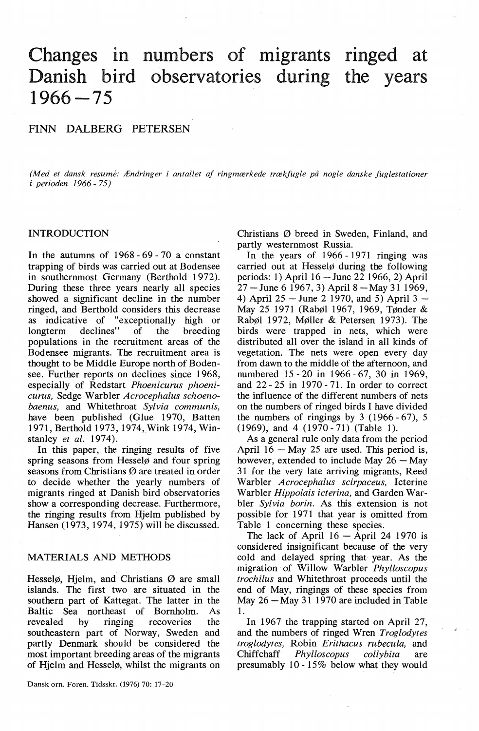# Changes in numbers of migrants ringed at Danish bird observatories during the years 1966-75

## FINN DALBERG PETERSEN

*(Med et dansk resume: Ændringer i antallet af ringmærkede trækfugle på nogle danske fuglestationer i* perioden 1966 - 75)

## INTRODUCTION

In the autumns of 1968 - 69 - 70 a constant trapping of birds was carried out at Bodensee in southernmost Germany (Berthold 1972). During these three years nearly all species showed a significant decline in the number ringed, and Berthold considers this decrease as indicative of "exceptionally high or longterm declines" of the breeding longterm declines" of the breeding populations in the recruitment areas of the Bodensee migrants. The recruitment area is thought to be Middle Europe north of Bodensee. Further reports on declines since 1968, especially of Redstart *Phoenicurus phoenicurus,* Sedge Warbler *Acrocephalus schoenobaenus,* and Whitethroat *Sylvia communis,*  have been published (Glue 1970, Batten 1971, Berthold 1973, 1974, Wink 1974, Winstanley *et al.* 1974).

In this paper, the ringing results of five spring seasons from Hesselø and four spring seasons from Christians Ø are treated in order to decide whether the yearly numbers of migrants ringed at Danish bird observatories show a corresponding decrease. Furthermore, the ringing results from Hjelm published by Hansen (1973, 1974, 1975) will be discussed.

## MATERIALS AND METHODS

Hesselø, Hjelm, and Christians Ø are small islands. The first two are situated in the southern part of Kattegat. The latter in the Baltic Sea northeast of Bornholm. As revealed by ringing recoveries the southeastern part of Norway, Sweden and partly Denmark should be considered the most important breeding areas of the migrants of Hjelm and Hesselø, whilst the migrants on

Dansk om. Foren. Tidsskr. (1976) 70: 17-20

Christians Ø breed in Sweden, Finland, and partly westernmost Russia.

In the years of 1966 - 1971 ringing was carried out at Hesselø during the following periods: 1) April 16 -June 22 1966, 2) April  $27 -$ June 6 1967, 3) April 8  $-$ May 31 1969, 4) April  $25 -$ June 2 1970, and 5) April 3  $-$ May 25 1971 (Rabøl 1967, 1969, Tønder & Rabøl 1972, Møller & Petersen 1973 ). The birds were trapped in nets, which were distributed all over the island in all kinds of vegetation. The nets were open every day from dawn to the middle of the afternoon, and numbered 15 - 20 in 1966 - 67, 30 in 1969, and 22 - 25 in 1970 - 71. In order to correct the influence of the different numbers of nets on the numbers of ringed birds I have divided the numbers of ringings by  $3(1966-67)$ , 5  $(1969)$ , and  $4(1970 - 71)$  (Table 1).

As a general rule only data from the period April  $16 - May 25$  are used. This period is, however, extended to include May  $26 -$ May 31 for the very late arriving migrants, Reed Warbler *Acrocephalus scirpaceus,* Icterine Warbler *Hippolais icterina,* and Garden Warbler *Sylvia borin.* As this extension is not possible for 1971 that year is omitted from Table 1 concerning these species.

The lack of April  $16 -$  April 24 1970 is considered insignificant because of the very cold and delayed spring that year. As the migration of Willow Warbler *Phylloscopus trochilus* and Whitethroat proceeds until the . end of May, ringings of these species from May  $26 -$ May 31 1970 are included in Table 1.

In 1967 the trapping started on April 27, and the numbers of ringed Wren *Troglodytes troglodytes,* Robin *Erithacus rubecula,* and Chiffchaff *Phylloscopus collybita* are presumably 10- 15% below what they would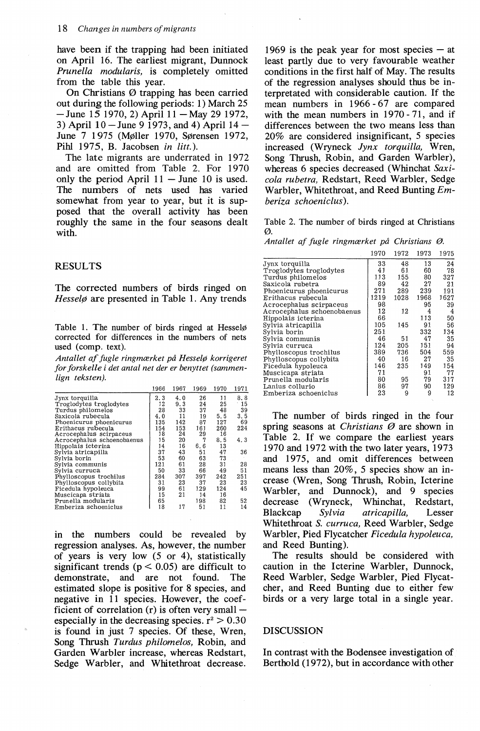have been if the trapping had been initiated on April 16. The earliest migrant, Dunnock *Prunella modularis,* is completely omitted from the table this year.

On Christians Ø trapping has been carried out during the following periods: 1) March 25  $-$  June 15 1970, 2) April 11  $-$  May 29 1972, 3) April  $10 -$ June 9 1973, and 4) April  $14 -$ June 7 1 975 (Møller 1970, Sørensen 1972, Pihl 1975, B. Jacobsen *in litt.*).

The late migrants are underrated in 1972 and are omitted from Table 2. For 1970 only the period April  $11 -$  June 10 is used. The numbers of nets used has varied somewhat from year to year, but it is supposed that the overall activity has been roughly the same in the four seasons dealt with.

#### RESULTS

The corrected numbers of birds ringed on *Hesselø* are presented in Table 1. Any trends

Table 1. The number of birds ringed at Hesselø corrected for differences in the numbers of nets used (comp. text).

*Antallet af fugle ringmærket på Hesselø korrigeret for forskelle i det antal net der er benyttet (sammenlign teksten).* 

|                            | 1966 | 1967 | 1969 | 1970 | 1971  |
|----------------------------|------|------|------|------|-------|
| Jynx torquilla             | 2.3  | 4.0  | 26   | 11   | 8.8   |
| Troglodytes troglodytes    | 12   | 9.3  | 24   | 25   | $-15$ |
| Turdus philomelos          | 28   | 33   | 37   | 48   | 39    |
| Saxicola rubecula          | 4.0  | 11   | 19   | 5.5  | 3.5   |
| Phoenicurus phoenicurus    | 135  | 142  | 87   | 127  | 69    |
| Erithacus rubecula         | 154  | 153  | 161  | 260  | 224   |
| Acrocephalus scirpaceus    | 18   | 24   | 29   | 16   |       |
| Acrocephalus schoenobaenus | 15   | 20   | 7    | 8.5  | 4.3   |
| Hippolais icterina         | 14   | 16   | 6.6  | 13   |       |
| Sylvia atricapilla         | 37   | 43   | 51   | 47   | 36    |
| Svlvia borin               | 53   | 60   | 63   | 73   |       |
| Sylvia communis            | 121  | 61   | 28   | 31   | 28    |
| Sylvia curruca             | 50   | 33   | 66   | 49   | 51    |
| Phylloscopus trochilus     | 284  | 307  | 397  | 242  | 251   |
| Phylloscopus collybita     | 31   | 23   | 37   | 23   | 23    |
| Ficedula hypoleuca         | 99   | 61   | 129  | 124  | 45    |
| Muscicapa striata          | 15   | 21   | 14   | 16   |       |
| Prunella modularis         | 65   |      | 198  | 82   | 52    |
| Emberiza schoeniclus       | 18   | 17   | 51   | 11   | 14    |
|                            |      |      |      |      |       |

in the numbers could be revealed by regression analyses. As, however, the number of years is very low  $(5 \text{ or } 4)$ , statistically significant trends ( $p < 0.05$ ) are difficult to demonstrate, and are not found. The estimated slope is positive for 8 species, and negative in 11 species. However, the coefficient of correlation  $(r)$  is often very small  $$ especially in the decreasing species.  $r^2 > 0.30$ is found in just 7 species. Of these, Wren, Song Thrush *Turdus philomelos,* Robin, and Garden Warbler increase, whereas Redstart, Sedge Warbler, and Whitethroat decrease. 1969 is the peak year for most species  $-$  at least partly due to very favourable weather conditions in the first half of May. The results of the regression analyses should thus be interpretated with considerable caution. lf the mean numbers in 1966-67 are compared with the mean numbers in 1970 - 71, and if differences between the two means less than 20% are considered insignificant, 5 species increased (Wryneck *Jynx torquilla,* Wren, Song Thrush, Robin, and Garden Warbler), whereas 6 species decreased (Whinchat *Saxicola rubetra,* Redstart, Reed Warbler, Sedge Warbler, Whitethroat, and Reed Bunting Em*beriza schoeniclus* ).

Table 2. The number of birds ringed at Christians ø.

*Antallet af fugle ringmærket på Christians* ø.

|                            | 1970 | 1972 | 1973 | 1975 |
|----------------------------|------|------|------|------|
| Jynx torquilla             | 33   | 48   | 13   | 24   |
| Troglodytes troglodytes    | 41   | 61   | 60   | 78   |
| Turdus philomelos          | 113  | 155  | 80   | 327  |
| Saxicola rubetra           | 89   | 42   | 27   | 21   |
| Phoenicurus phoenicurus    | 271  | 289  | 239  | 191  |
| Erithacus rubecula         | 1219 | 1028 | 1968 | 1627 |
| Acrocephalus scirpaceus    | 98   |      | 95   | 39   |
| Acrocephalus schoenobaenus | 12   | 12   | 4    | 4    |
| Hippolais icterina         | 66   |      | 113  | 50   |
| Svlvia atricapilla         | 105  | 145  | 91   | 56   |
| Sylvia borin               | 251  |      | 332  | 134  |
| Svlvia communis            | 46   | 51   | 47   | 35   |
| Sylvia curruca             | 124  | 205  | 151  | 94   |
| Phylloscopus trochilus     | 389  | 736  | 504  | 559  |
| Phylloscopus collybita     | 40   | 16   | 27   | 35   |
| Ficedula hypoleuca         | 146  | 235  | 149  | 154  |
| Muscicapa striata          | 71   |      | 91   | 77   |
| Prunella modularis         | 80   | 95   | 79   | 317  |
| Lanius collurio            | 86   | 97   | 90   | 129  |
| Emberiza schoeniclus       | 23   | 9    | 9    | 12   |

The number of birds ringed in the four spring seasons at *Christians* Ø are shown in Table 2. If we compare the earliest years 1970 and 1972 with the two later years, 1973 and 1975, and omit differences between means less than 20%, 5 species show an increase (Wren, Song Thrush, Robin, Icterine Warbler, and Dunnock), and 9 species decrease (Wryneck, Whinchat, Redstart, Blackcap *Sylvia atricapilla,* Lesser Whitethroat *S. curruca,* Reed Warbler, Sedge Warbler, Pied Flycatcher *Ficedula hypoleuca,*  and Reed Bunting).

The results should be considered with caution in the Icterine Warbler, Dunnock, Reed Warbler, Sedge Warbler, Pied Flycatcher, and Reed Bunting due to either few birds or a very large total in a single year.

#### DISCUSSION

In contrast with the Bodensee investigation of Berthold (1972), but in accordance with other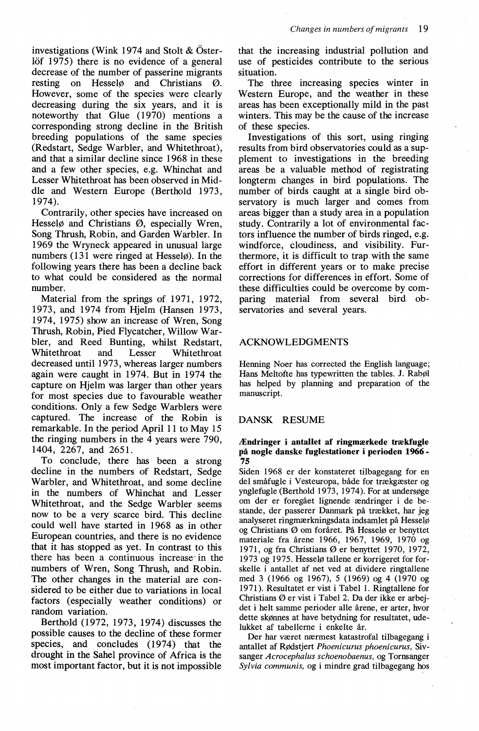investigations (Wink 1974 and Stolt  $&Öster$ löf 1975) there is no evidence of a general decrease of the number of passerine migrants resting on Hesselø and Christians Ø. However, some of the species were clearly decreasing during the six years, and it is noteworthy that Glue (1970) mentions a corresponding strong decline in the British breeding populations of the same species (Redstart, Sedge Warbler, and Whitethroat), and that a similar decline since 1968 in these and a few other species, e.g. Whinchat and Lesser Whitethroat has been observed in Middle and Western Europe (Berthold 1973, 1974).

Contrarily, other species have increased on Hesselø and Christians Ø, especially Wren, Song Thrush, Robin, and Garden Warbler. In 1969 the Wryneck appeared in unusual large numbers ( 131 were ringed at Hesselø). In the following years there has been a decline back to what could be considered as the normal number.

Material from the springs of 1971, 1972, 1973, and 1974 from Hjelm (Hansen 1973, 1974, 1975) show an increase of Wren, Song Thrush, Robin, Pied Flycatcher, Willow Warbler, and Reed Bunting, whilst Redstart, Whitethroat and Lesser Whitethroat decreased until 1973, whereas larger numbers again were caught in 1974. But in 1974 the capture on Hjelm was larger than other years for most species due to favourable weather conditions. Only a few Sedge Warblers were captured. The increase of the Robin is remarkable. In the period April 11 to May 15 the ringing numbers in the 4 years were 790, 1404, 2267, and 2651.

To conclude, there has been a strong decline in the numbers of Redstart, Sedge Warbler, and Whitethroat, and some decline in the numbers of Whinchat and Lesser Whitethroat, and the Sedge Warbler seems now to be a very scarce bird. This decline could well have started in 1968 as in other European countries, and there is no evidence that it has stopped as yet. In contrast to this there has been a continuous increase · in the numbers of Wren, Song Thrush, and Robin. The other changes in the material are considered to be either due to variations in local factors (especially weather conditions) or random variation.

Berthold (1972, 1973, 1974) discusses the possible causes to the decline of these former species, and concludes (1974) that the drought in the Sahel province of Africa is the most important factor, but it is not impossible that the increasing industrial pollution and use of pesticides contribute to the serious situation.

The three increasing species winter in Western Europe, and the weather in these areas has been exceptionally mild in the past winters. This may be the cause of the increase of these species.

Investigations of this sort, using ringing results from bird observatories could as a supplement to investigations in the breeding areas be a valuable method of registrating longterm changes in bird populations. The number of birds caught at a single bird observatory is much larger and comes from areas bigger than a study area in a population study. Contrarily a lot of environmental factors influence the number of birds ringed, e.g. windforce, cloudiness, and visibility. Furthermore, it is difficult to trap with the same effort in different years or to make precise corrections for differences in effort. Some of these difficulties could be overcome by comparing material from several bird observatories and several years.

## ACKNOWLEDGMENTS

Henning Noer has corrected the English language; Hans Meltofte has typewritten the tables. J. Rabøl has helped by planning and preparation of the manuscript.

## DANSK RESUME

#### Ændringer i antallet af ringmærkede trækfugle på nogle danske fuglestationer i perioden 1966 - 75

Siden 1968 er der konstateret tilbagegang for en del småfugle i Vesteuropa, både for trækgæster og ynglefugle (Berthold 1973, 1974). For at undersøge om der er foregået lignende ændringer i de bestande, der passerer Danmark på trækket, har jeg analyseret ringmærkningsdata indsamlet på Hesselø og Christians Ø om foråret. På Hesselø er benyttet materiale fra årene 1966, 1967, 1969, 1970 og 1971, og fra Christians Øer benyttet 1970, 1972, 1973 og 1975. Hesselø tallene er korrigeret for forskelle i antallet af net ved at dividere ringtallene med 3 (1966 og 1967), 5 (1969) og 4 (1970 og 1971). Resultatet er vist i Tabel 1. Ringtallene for Christians Ø er vist i Tabel 2. Da der ikke er arbejdet i helt samme perioder alle årene, er arter, hvor dette skønnes at have betydning for resultatet, udelukket af tabellerne i enkelte år.

Der har været nærmest katastrofal tilbagegang i antallet af Rødstjert Phoenicurus phoenicurus, Sivsanger *Acrocephalus schoenobaenus,* og Tornsanger *Sylvia communis,* og i mindre grad tilbagegang hos